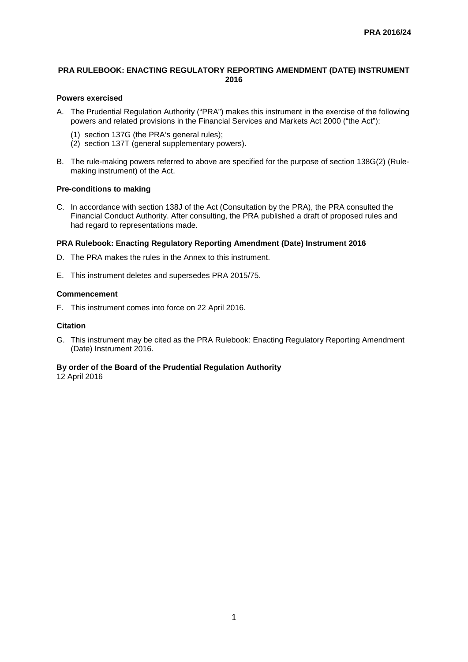## **PRA RULEBOOK: ENACTING REGULATORY REPORTING AMENDMENT (DATE) INSTRUMENT 2016**

# **Powers exercised**

- A. The Prudential Regulation Authority ("PRA") makes this instrument in the exercise of the following powers and related provisions in the Financial Services and Markets Act 2000 ("the Act"):
	- (1) section 137G (the PRA's general rules);
	- (2) section 137T (general supplementary powers).
- B. The rule-making powers referred to above are specified for the purpose of section 138G(2) (Rulemaking instrument) of the Act.

#### **Pre-conditions to making**

C. In accordance with section 138J of the Act (Consultation by the PRA), the PRA consulted the Financial Conduct Authority. After consulting, the PRA published a draft of proposed rules and had regard to representations made.

#### **PRA Rulebook: Enacting Regulatory Reporting Amendment (Date) Instrument 2016**

- D. The PRA makes the rules in the Annex to this instrument.
- E. This instrument deletes and supersedes PRA 2015/75.

#### **Commencement**

F. This instrument comes into force on 22 April 2016.

## **Citation**

G. This instrument may be cited as the PRA Rulebook: Enacting Regulatory Reporting Amendment (Date) Instrument 2016.

# **By order of the Board of the Prudential Regulation Authority**

12 April 2016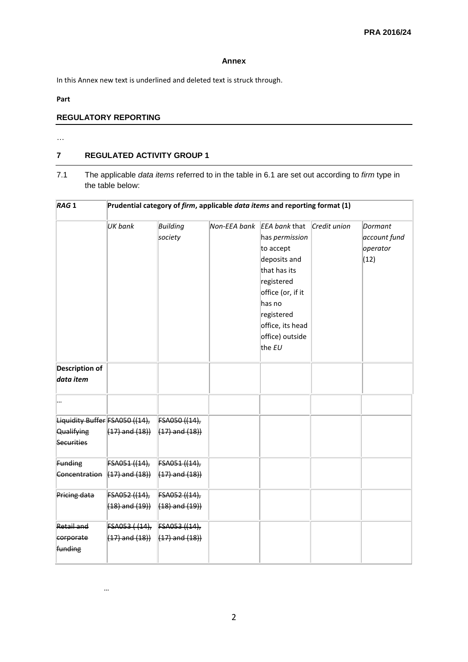## **Annex**

In this Annex new text is underlined and deleted text is struck through.

# **Part**

# **REGULATORY REPORTING**

…

…

# **7 REGULATED ACTIVITY GROUP 1**

7.1 The applicable *data items* referred to in the table in 6.1 are set out according to *firm* type in the table below:

| RAG <sub>1</sub>                                  | Prudential category of firm, applicable data items and reporting format (1) |                     |              |                                                                                                                                                                                            |              |                                             |
|---------------------------------------------------|-----------------------------------------------------------------------------|---------------------|--------------|--------------------------------------------------------------------------------------------------------------------------------------------------------------------------------------------|--------------|---------------------------------------------|
|                                                   | UK bank                                                                     | Building<br>society | Non-EEA bank | EEA bank that<br>has permission<br>to accept<br>deposits and<br>that has its<br>registered<br>office (or, if it<br>has no<br>registered<br>office, its head<br>office) outside<br>the $EU$ | Credit union | Dormant<br>account fund<br>operator<br>(12) |
| <b>Description of</b><br>data item                |                                                                             |                     |              |                                                                                                                                                                                            |              |                                             |
|                                                   |                                                                             |                     |              |                                                                                                                                                                                            |              |                                             |
| Liquidity Buffer FSA050 ((14), FSA050 ((14),      |                                                                             |                     |              |                                                                                                                                                                                            |              |                                             |
| Qualifying<br>Securities                          | $(17)$ and $(18)$ } $(17)$ and $(18)$ }                                     |                     |              |                                                                                                                                                                                            |              |                                             |
| Funding                                           | FSA051 ((14), FSA051 ((14),                                                 |                     |              |                                                                                                                                                                                            |              |                                             |
| Concentration $(17)$ and $(18)$ $(17)$ and $(18)$ |                                                                             |                     |              |                                                                                                                                                                                            |              |                                             |
| Pricing data                                      | FSA052 ((14), FSA052 ((14),                                                 |                     |              |                                                                                                                                                                                            |              |                                             |
|                                                   | $(18)$ and $(19)$ ) $(18)$ and $(19)$ )                                     |                     |              |                                                                                                                                                                                            |              |                                             |
| Retail and                                        | FSA053 ((14), FSA053 ((14),                                                 |                     |              |                                                                                                                                                                                            |              |                                             |
| corporate<br>funding                              | $(17)$ and $(18)$ $(17)$ and $(18)$                                         |                     |              |                                                                                                                                                                                            |              |                                             |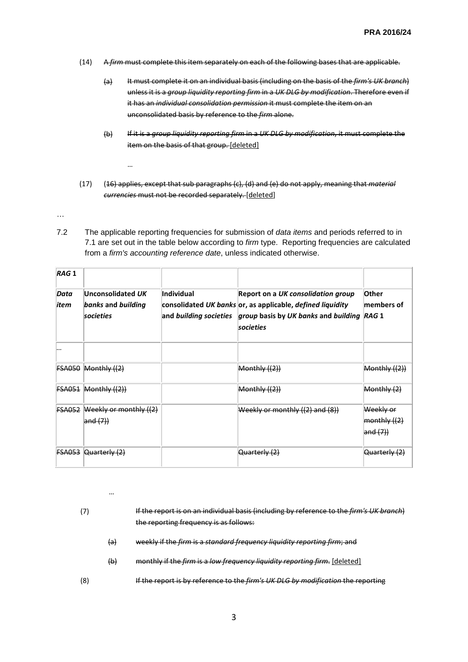- (14) A *firm* must complete this item separately on each of the following bases that are applicable.
	- (a) It must complete it on an individual basis (including on the basis of the *firm's UK branch*) unless it is a *group liquidity reporting firm* in a *UK DLG by modification*. Therefore even if it has an *individual consolidation permission* it must complete the item on an unconsolidated basis by reference to the *firm* alone.
	- (b) If it is a *group liquidity reporting firm* in a *UK DLG by modification*, it must complete the item on the basis of that group. [deleted]
- (17) (16) applies, except that sub paragraphs (c), (d) and (e) do not apply, meaning that *material currencies* must not be recorded separately. [deleted]
- …

…

7.2 The applicable reporting frequencies for submission of *data items* and periods referred to in 7.1 are set out in the table below according to *firm* type. Reporting frequencies are calculated from a *firm's accounting reference date*, unless indicated otherwise.

| RAG <sub>1</sub>    |                                                      |            |                                                                                                                                                                                    |                                             |
|---------------------|------------------------------------------------------|------------|------------------------------------------------------------------------------------------------------------------------------------------------------------------------------------|---------------------------------------------|
| Data<br><i>item</i> | Unconsolidated UK<br>banks and building<br>societies | Individual | Report on a UK consolidation group<br>consolidated UK banks or, as applicable, defined liquidity<br>and building societies group basis by UK banks and building RAG 1<br>societies | Other<br>members of                         |
|                     |                                                      |            |                                                                                                                                                                                    |                                             |
| FSA050              | Monthly $((2))$                                      |            | Monthy((2))                                                                                                                                                                        | Monthly ((2))                               |
|                     | $FSAO51$ Monthly $((2))$                             |            | Monthly $((2))$                                                                                                                                                                    | Monthly (2)                                 |
| <b>FSA052</b>       | Weekly or monthly ((2)<br>and (7)                    |            | Weekly or monthly ((2) and (8))                                                                                                                                                    | Weekly or<br>$ $ monthly $((2)$<br>and (7)) |
| FSA053              | Quarterly (2)                                        |            | Quarterly (2)                                                                                                                                                                      | Quarterly (2)                               |

|    |     | If the report is on an individual basis (including by reference to the firm's UK branch)<br>the reporting frequency is as follows: |
|----|-----|------------------------------------------------------------------------------------------------------------------------------------|
|    | (a) | weekly if the firm is a standard frequency liquidity reporting firm; and                                                           |
|    | (b) | monthly if the firm is a low frequency liquidity reporting firm. [deleted]                                                         |
| ΄8 |     | If the report is by reference to the firm's UK DLG by modification the reporting                                                   |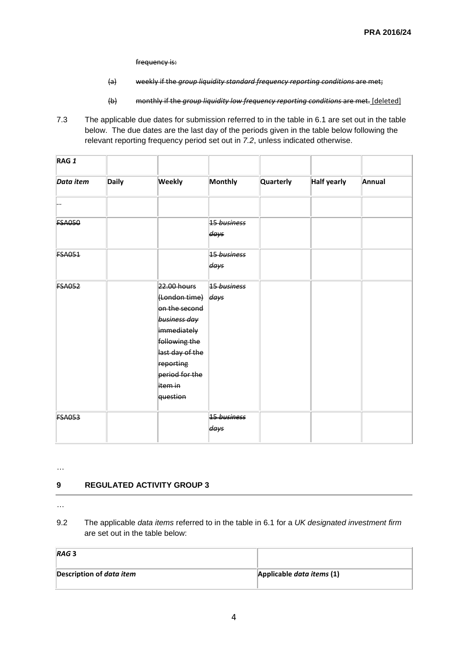frequency is:

- (a) weekly if the *group liquidity standard frequency reporting conditions* are met;
- (b) monthly if the *group liquidity low frequency reporting conditions* are met. [deleted]
- 7.3 The applicable due dates for submission referred to in the table in 6.1 are set out in the table below. The due dates are the last day of the periods given in the table below following the relevant reporting frequency period set out in *7.2*, unless indicated otherwise.

| RAG <sub>1</sub> |              |                                                                                                                                                                             |                     |           |                    |        |
|------------------|--------------|-----------------------------------------------------------------------------------------------------------------------------------------------------------------------------|---------------------|-----------|--------------------|--------|
| Data item        | <b>Daily</b> | <b>Weekly</b>                                                                                                                                                               | <b>Monthly</b>      | Quarterly | <b>Half yearly</b> | Annual |
| ٠.,              |              |                                                                                                                                                                             |                     |           |                    |        |
| <b>FSA050</b>    |              |                                                                                                                                                                             | 15 business<br>days |           |                    |        |
| <b>FSA051</b>    |              |                                                                                                                                                                             | 15 business<br>days |           |                    |        |
| <b>FSA052</b>    |              | 22.00 hours<br>(London time) days<br>on the second<br>business day<br>immediately<br>following the<br>last day of the<br>reporting<br>period for the<br>item in<br>question | 15 business         |           |                    |        |
| <b>FSA053</b>    |              |                                                                                                                                                                             | 15 business<br>days |           |                    |        |

…

# **9 REGULATED ACTIVITY GROUP 3**

…

9.2 The applicable *data items* referred to in the table in 6.1 for a *UK designated investment firm* are set out in the table below:

| RAG <sub>3</sub>                |                           |
|---------------------------------|---------------------------|
| Description of <i>data item</i> | Applicable data items (1) |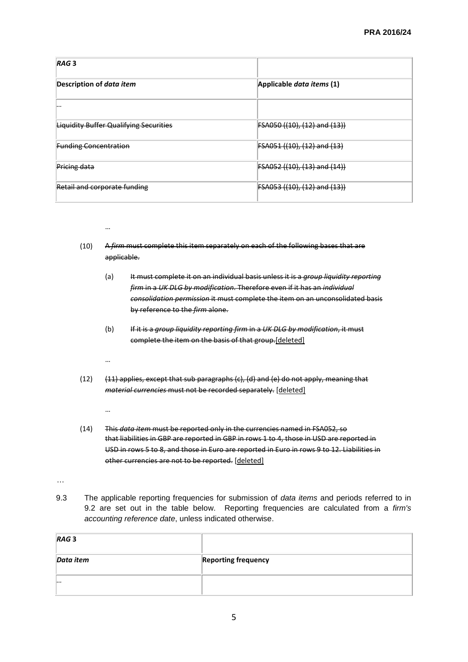| RAG <sub>3</sub>                              |                              |
|-----------------------------------------------|------------------------------|
| Description of <i>data item</i>               | Applicable data items (1)    |
|                                               |                              |
| <b>Liquidity Buffer Qualifying Securities</b> | FSA050 ((10), (12) and (13)) |
| <b>Funding Concentration</b>                  | FSA051 ((10), (12) and (13)  |
| Pricing data                                  | FSA052 ((10), (13) and (14)) |
| Retail and corporate funding                  | FSA053 ((10), (12) and (13)) |

- …
- (10) A *firm* must complete this item separately on each of the following bases that are applicable.
	- (a) It must complete it on an individual basis unless it is a *group liquidity reporting firm* in a *UK DLG by modification*. Therefore even if it has an *individual consolidation permission* it must complete the item on an unconsolidated basis by reference to the *firm* alone.
	- (b) If it is a *group liquidity reporting firm* in a *UK DLG by modification*, it must complete the item on the basis of that group.[deleted]
	- …
- $(12)$   $(11)$  applies, except that sub paragraphs  $(c)$ ,  $(d)$  and  $(e)$  do not apply, meaning that *material currencies* must not be recorded separately. [deleted]
	- …
- (14) This *data item* must be reported only in the currencies named in FSA052, so that liabilities in GBP are reported in GBP in rows 1 to 4, those in USD are reported in USD in rows 5 to 8, and those in Euro are reported in Euro in rows 9 to 12. Liabilities in other currencies are not to be reported. [deleted]

…

9.3 The applicable reporting frequencies for submission of *data items* and periods referred to in 9.2 are set out in the table below. Reporting frequencies are calculated from a *firm's accounting reference date*, unless indicated otherwise.

| RAG <sub>3</sub> |                            |
|------------------|----------------------------|
| Data item        | <b>Reporting frequency</b> |
| $\cdots$         |                            |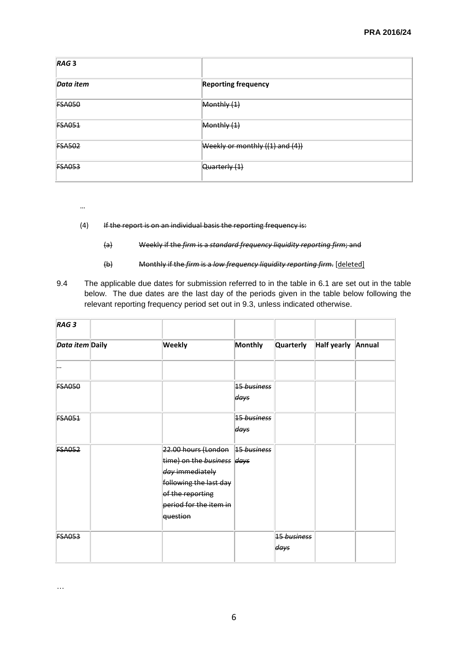| RAG <sub>3</sub> |                                     |
|------------------|-------------------------------------|
| Data item        | <b>Reporting frequency</b>          |
| <b>FSA050</b>    | Monthly (1)                         |
| <b>FSA051</b>    | Monthly (1)                         |
| <b>FSA502</b>    | Weekly or monthly $((1)$ and $(4))$ |
| <b>FSA053</b>    | Quarterly (1)                       |

- …
- (4) If the report is on an individual basis the reporting frequency is:
	- (a) Weekly if the *firm* is a *standard frequency liquidity reporting firm*; and
	- (b) Monthly if the *firm* is a *low frequency liquidity reporting firm*. [deleted]
- 9.4 The applicable due dates for submission referred to in the table in 6.1 are set out in the table below. The due dates are the last day of the periods given in the table below following the relevant reporting frequency period set out in 9.3, unless indicated otherwise.

| RAG <sub>3</sub> |                                                                                                                                                                      |                     |                     |                    |  |
|------------------|----------------------------------------------------------------------------------------------------------------------------------------------------------------------|---------------------|---------------------|--------------------|--|
| Data item Daily  | <b>Weekly</b>                                                                                                                                                        | Monthly             | Quarterly           | Half yearly Annual |  |
|                  |                                                                                                                                                                      |                     |                     |                    |  |
| <b>FSA050</b>    |                                                                                                                                                                      | 15 business<br>days |                     |                    |  |
| <b>FSA051</b>    |                                                                                                                                                                      | 15 business<br>days |                     |                    |  |
| <b>FSA052</b>    | 22.00 hours (London 15 business<br>time) on the business days<br>day immediately<br>following the last day<br>of the reporting<br>period for the item in<br>question |                     |                     |                    |  |
| <b>FSA053</b>    |                                                                                                                                                                      |                     | 15 business<br>days |                    |  |

…